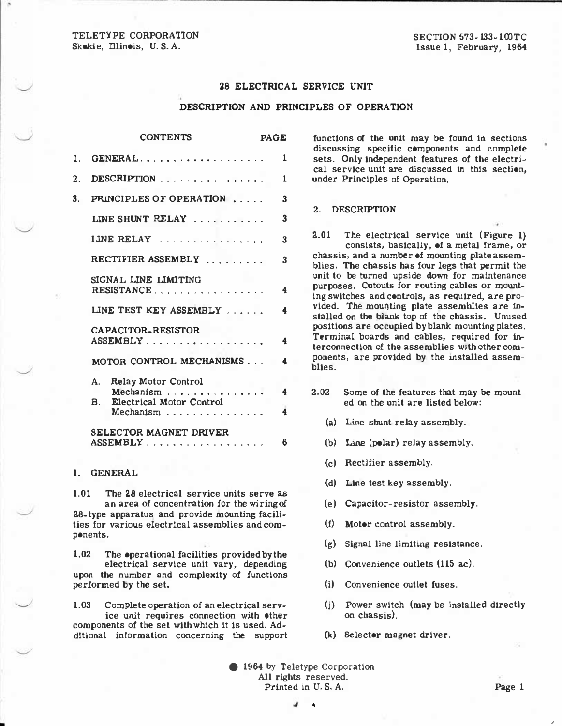TELETYPE CORPORATION Skokie, Dlinois, U.S. A.

# 28 ELECTRICAL SERVICE UNIT

## DESCRIPTION AND PRINCIPLES OF OPERATION

|    | <b>CONTENTS</b>                                                | <b>PAGE</b> |                         |
|----|----------------------------------------------------------------|-------------|-------------------------|
| 1. | GENERAL                                                        |             | $\mathbf{1}$            |
| 2. | DESCRIPTION $\ldots \ldots \ldots \ldots$                      |             | $\mathbf{1}$            |
| 3. | PRINCIPLES OF OPERATION                                        |             | 3                       |
|    | LINE SHUNT RELAY                                               |             | 3                       |
|    | IJNE RELAY                                                     |             | 3                       |
|    | RECTIFIER ASSEMBLY                                             |             | 3                       |
|    | SIGNAL LINE LIMITING<br>RESISTANCE                             |             | $\overline{\mathbf{4}}$ |
|    | LINE TEST KEY ASSEMBLY                                         |             | $\overline{\mathbf{4}}$ |
|    | <b>CAPACITOR-RESISTOR</b><br>ASSEMBLY                          |             | $\ddagger$              |
|    | MOTOR CONTROL MECHANISMS                                       |             | $\overline{\mathbf{4}}$ |
|    | A. Relay Motor Control<br>Mechanism                            |             | $\frac{4}{ }$           |
|    | <b>Electrical Motor Control</b><br>$\mathbf{B}$ .<br>Mechanism |             | 4                       |
|    | SELECTOR MAGNET DRIVER<br>ASSEMBLY                             |             | 6                       |

## l. GENERAL

•

l.Ol The 28 electrical service units serve as an area of concentration for the wiring of 28-type apparatus and provide mounting facilities for various electrical assemblies and components.

1.02 The operational facilities provided by the electrical service unit vary, depending upon the number and complexity of functions performed by the set.

1.03 Complete operation of an electrical service unit requires connection with other components of the set with which it is used. Additional information concerning the support

functions of the unit may be found in sections discussing specific components and complete sets. Only independent features of the electrical service unit are discussed in this section, under Principles of Operation.

#### 2. DESCRIPTION

--- - - -------------------------

2.01 The electrical service unit (Figure 1) consists, basically, of a metal frame, or chassis, and a number of mounting plate assemblies. The chassis has four legs that permit the unit to be turned upside down for maintenance purposes. Cutouts for routing cables or mounting switches and controls, as required, are provided. The mounting plate assemblies are installed on the blank top of the chassis. Unused positions are occupied by blank mounting plates. Terminal boards and cables, required for interconnection of the assemblies with other components, are provided by the installed assemblies.

- 2.02 Some of the features that may be mounted on the unit are listed below:
	- (a) Line shunt relay assembly.
	- (b) Line (polar) relay assembly.
	- (c) Rectifier assembly.
	- (d) Line test key assembly.
	- (e) Capacitor-resistor assembly.
	- (f) Motor control assembly.
	- (g) Signal line limiting resistance.
	- (b) Convenience outlets (115 ac).
	- (i) Convenience outlet fuses.
	- $(i)$  Power switch (may be installed directly on chassis).
	- (k) Selector magnet driver.

© 1964 by Teletype Corporation All rights reserved. Printed in U.S.A. Page 1

•

•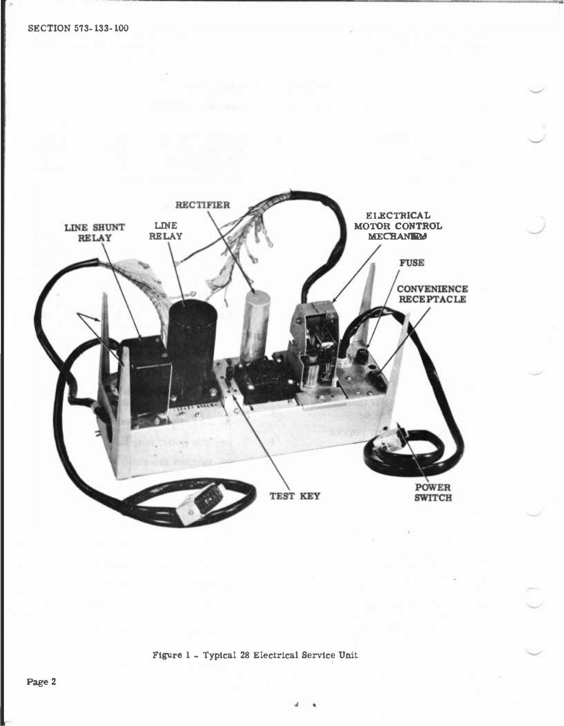

Figure 1 - Typical 28 Electrical Service Unit '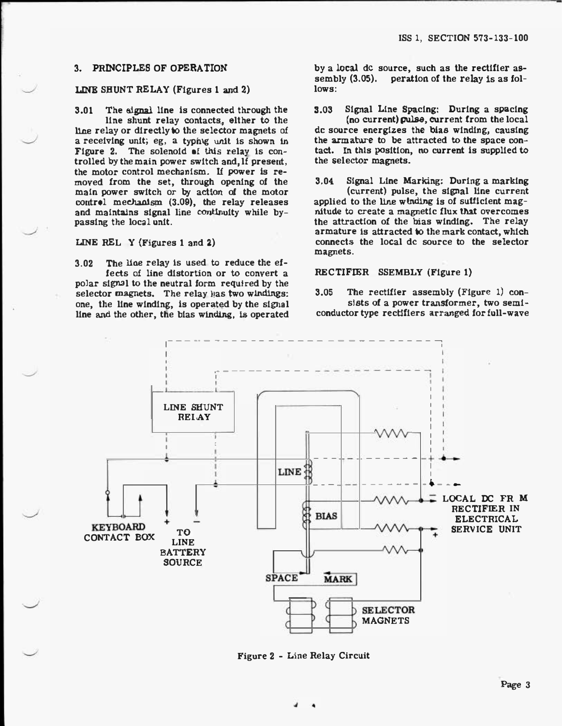## 3. PRINCIPLES OF OPERATION

## LINE SHUNT RELAY (Figures 1 and 2)

3.01 The signal line is connected through the line shunt relay contacts, elther to the line relay or directly to the selector magnets of a receiving unit; eg, a typhig unit is shown in Figure 2. The solenoid of this relay is  $con$ trolled by the main power switch and,lf present, the motor control mechanism. If power is removed from the set, through opening of the main power switch or by action of the motor control mechanism  $(3.09)$ , the relay releases and maintains signal line continuity while bypassing the local unit.

# LINE REL Y (Figures 1 and 2)

3.02 The line relay Is used to reduce the effects of line distortion or to convert a polar signal to the neutral form required by the selector magnets. The relay lias two windings: one, the line winding, is operated by the signal line and the other, the bias winding, is operated

by a local de source, such as the rectifier assembly  $(3.05)$ . peration of the relay is as follows:

3.03 Signal Line Spacing: During a spacing (no current) pulse, current from the local de source energizes the bias winding, causing the armature to be attracted to the space contact. In this position, no current is supplied to the selector magnets.

3.04 Signal Line Marking: During a marking (current) pulse, the signal line current applied to the line winding Is of sufficient magnitude to create a magnetic flux that overcomes the attraction of the bias winding. The relay armature is attracted to the mark contact, which connects the local de source to the selector magnets.

## RECTIFIER SSEMBLY (Figure 1)

3.05 The rectifier assembly (Figure 1) consists of a power transformer, two semiconductor type rectifiers arranged for full-wave



Figure 2 - Line Relay Circuit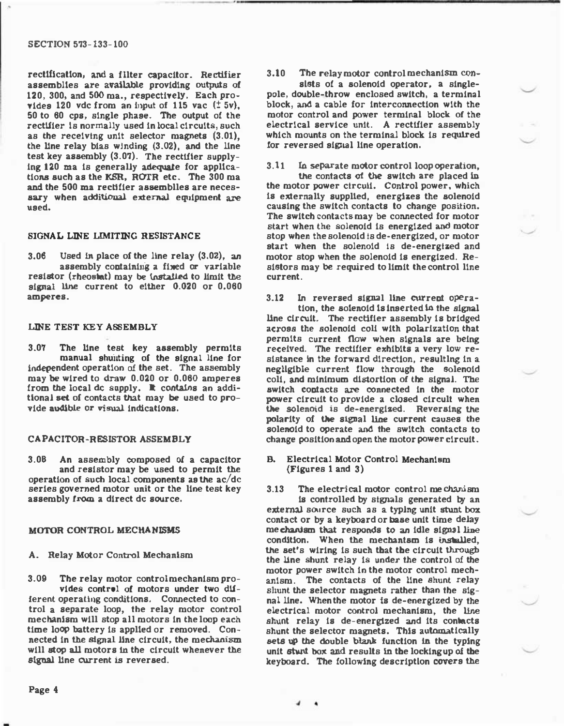#### SECTION 573-133-100

rectllicatlon, and a fllter capacitor. Rectifier assemblles are available providing outputs of 120, 300, and 500 ma., respectively. Each provides 120 vdc from an input of 115 vac  $(±5v)$ , 50 to 60 cps, single phase. The output of the rectifier is normally used in local circuits, such as the receiving unit selector magnets (3.01), the Une relay bias winding (3.02), and the Une test key assembly  $(3.07)$ . The rectifier supplying 120 ma is generally adequate for applications such as the KSR, ROTR etc. The 300 ma and the 500 ma rectifier assemblles are necessary when additional external equipment are used.

## SIGNAL LINE LIMITING RESISTANCE

 $3.06$  Used in place of the line relay  $(3.02)$ , an assembly containing a fixed or variable resistor (rheostat) may be installed to limit the signal Une current to either 0.020 or 0.060 amperes.

### LINE TEST KEY ASSEMBLY

3.07 The Une test key assembly permits Independent operation of the set. The assembly manual shunting of the signal line for may be wired to draw 0.020 or 0.060 amperes from the local de supply. It contains an additional set of contacts that may be used to provide audible or visual indications.

#### CAPACITOR-RESISTOR ASSEMBLY

3.08 An assembly composed of a capacitor and resistor may be used to permit the operation of such local components as the  $ac/dc$ series governed motor unit or the line test key assembly from a direct de source.

#### MOTOR CONTROL MECHANISMS

A. Relay Motor Control Mechanism

3.09 The relay motor control mechanism provides control of motors under two dUferent operating conditions. Connected to control a separate loop, the relay motor control mechanism will stop all motors In the loop each time loop battery Is applled or removed. Connected In the signal line circuit, the mechanism will stop all motors In the circuit whenever the signal Une current Is reversed.

3.10 The relay motor control mechanism con-

\_\_\_ ,., \_\_ \_\_\_\_\_\_\_\_\_\_\_\_ \_\_\_\_\_\_\_\_\_\_\_\_\_\_ \_

sists of a solenoid operator, a singlepole, double-throw enclosed switch, a terminal block, and a cable for Interconnection with the motor control and power terminal block of the electrical service unit. A rectifier assembly which mounts on the terminal block is required for reversed signal line operation.

3.11 In separate motor control loop operation,

the contacts of the switch are placed In the motor power circuil. Control power, which is externally supplied, energizes the solenoid causing the switch contacts to change position. The switch contacts may be connected for motor start when the solenoid Is energized and motor stop when the solenoid Is de-energized, or motor start when the solenoid Is de-energized and motor stop when the solenoid Is energized. Resistors may be required to limit the control line current.

3.12 In reversed signal line current opera-

tion, the solenoid is inserted in the signal Une circuit. The rectifier assembly Is bridged across the solenoid coli with polarization that permits current flow when signals are being received. The rectifier exhibits a very low resistance in the forward direction, resulting in a negligible current flow through the solenoid coli, and minimum distortion of the signal. The switch contacts are connected In the motor power circuit to provide a closed circuli when the solenoid Is de-energized. Reversing the polarity of the signal line current causes the solenoid to operate and the switch contacts to change position and open the motor power circuit.

B. Electrical Motor Control Mechanism (Figures 1 and 3)

3.13 The electrical motor control mechanism Is controlled by signals generated by an external source such as a typing unit stunt box contact or by a keyboard or base unit time delay mechanism that responds to an Idle signal line condition. When the mechanism Is installed, the set's wiring Is such that the circuit through the Une shunt relay Is under the control of the motor power switch In the motor control mechanism. The contacts of the line shunt relay shunt the selector magnets rather than the signal line. When the motor is de-energized by the electrical motor control mechanism, the line shunt relay is de-energized and its contacts shunt the selector magnets. This automatically sets up the double blank function In the typing unit stunt box and results In the locking up of the keyboard. The following description covers the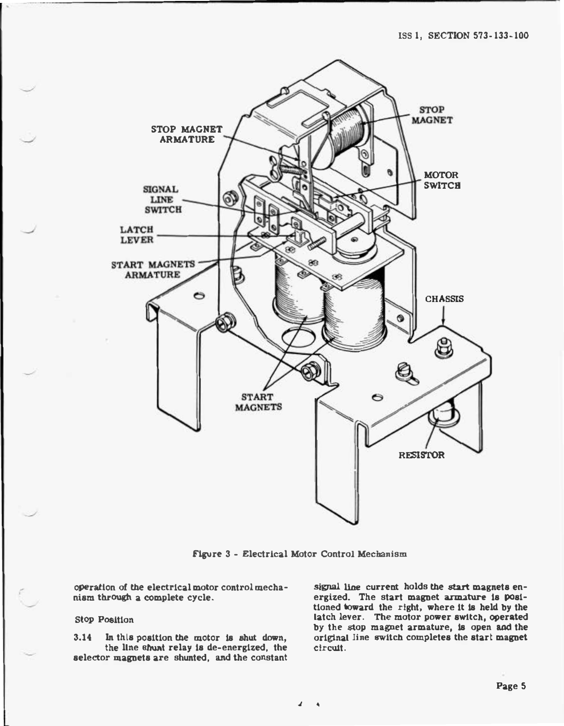

Figure 3 - Electrical Motor Control Mechanism

• •

operation of the electrical motor control mechanism through a complete cycle.

# Stop Position

- •

> 3.14 In thls position the motor Is shut down, the llne shunt relay Is de-energized, the selector magnets are shunted, and the constant

signal line current holds the start magnets energized. The start magnet armature Is positioned toward the right, where It Is held by the latch lever. The motor power switch, operated by the stop magnet armature, Is open and the original line switch completes the start magnet circuit.